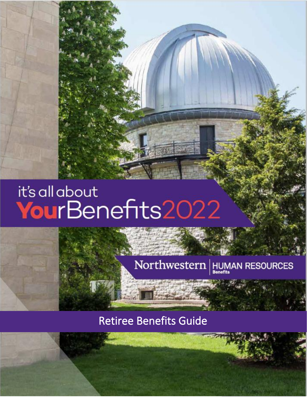# it's all about YourBenefits2022

## Northwestern  $\left|\underset{\scriptscriptstyle{\text{Benerits}}}{\text{HUMAN}}$  RESOURCES

### Retiree Benefits Guide

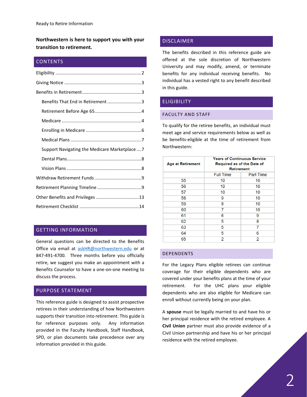**Northwestern is here to support you with your transition to retirement.** 

#### **CONTENTS**

| Benefits That End in Retirement 3            |
|----------------------------------------------|
|                                              |
|                                              |
|                                              |
|                                              |
| Support Navigating the Medicare Marketplace7 |
|                                              |
|                                              |
|                                              |
|                                              |
|                                              |
|                                              |

#### GETTING INFORMATION

General questions can be directed to the Benefits Office via email at [askHR@northwestern.edu](mailto:askHR@northwestern.edu) or at 847-491-4700. Three months before you officially retire, we suggest you make an appointment with a Benefits Counselor to have a one-on-one meeting to discuss the process.

#### PURPOSE STATEMENT

This reference guide is designed to assist prospective retirees in their understanding of how Northwestern supports their transition into retirement. This guide is for reference purposes only. Any information provided in the Faculty Handbook, Staff Handbook, SPD, or plan documents take precedence over any information provided in this guide.

#### DISCLAIMER

The benefits described in this reference guide are offered at the sole discretion of Northwestern University and may modify, amend, or terminate benefits for any individual receiving benefits. No individual has a vested right to any benefit described in this guide.

#### <span id="page-1-0"></span>**ELIGIBILITY**

#### FACULTY AND STAFF

To qualify for the retiree benefits, an individual must meet age and service requirements below as well as be benefits-eligible at the time of retirement from Northwestern:

| <b>Age at Retirement</b> | <b>Years of Continuous Service</b><br><b>Required as of the Date of</b><br><b>Retirement</b> |                  |  |
|--------------------------|----------------------------------------------------------------------------------------------|------------------|--|
|                          | <b>Full Time</b>                                                                             | <b>Part Time</b> |  |
| 55                       | 10                                                                                           | 10               |  |
| 56                       | 10                                                                                           | 10               |  |
| 57                       | 10                                                                                           | 10               |  |
| 58                       | 9                                                                                            | 10               |  |
| 59                       | 8                                                                                            | 10               |  |
| 60                       | 7                                                                                            | 10               |  |
| 61                       | 6                                                                                            | 9                |  |
| 62                       | 5                                                                                            | 8                |  |
| 63                       | 5                                                                                            | 7                |  |
| 64                       | 5                                                                                            | 6                |  |
| 65                       | 2                                                                                            | 2                |  |

#### DEPENDENTS

For the Legacy Plans eligible retirees can continue coverage for their eligible dependents who are covered under your benefits plans at the time of your retirement. For the UHC plans your eligible dependents who are also eligible for Medicare can enroll without currently being on your plan.

A **spouse** must be legally married to and have his or her principal residence with the retired employee. A **Civil Union** partner must also provide evidence of a Civil Union partnership and have his or her principal residence with the retired employee.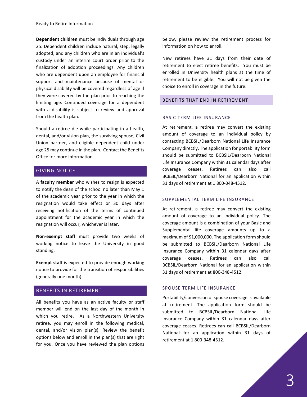Ready to Retire Information

**Dependent children** must be individuals through age 25. Dependent children include natural, step, legally adopted, and any children who are in an individual's custody under an interim court order prior to the finalization of adoption proceedings. Any children who are dependent upon an employee for financial support and maintenance because of mental or physical disability will be covered regardless of age if they were covered by the plan prior to reaching the limiting age. Continued coverage for a dependent with a disability is subject to review and approval from the health plan.

Should a retiree die while participating in a health, dental, and/or vision plan, the surviving spouse, Civil Union partner, and eligible dependent child under age 25 may continue in the plan. Contact the Benefits Office for more information.

#### <span id="page-2-0"></span>GIVING NOTICE

A **faculty member** who wishes to resign is expected to notify the dean of the school no later than May 1 of the academic year prior to the year in which the resignation would take effect or 30 days after receiving notification of the terms of continued appointment for the academic year in which the resignation will occur, whichever is later.

**Non-exempt staff** must provide two weeks of working notice to leave the University in good standing.

**Exempt staff** is expected to provide enough working notice to provide for the transition of responsibilities (generally one month).

#### <span id="page-2-1"></span>BENEFITS IN RETIREMENT

All benefits you have as an active faculty or staff member will end on the last day of the month in which you retire. As a Northwestern University retiree, you may enroll in the following medical, dental, and/or vision plan(s). Review the benefit options below and enroll in the plan(s) that are right for you. Once you have reviewed the plan options

below, please review the retirement process for information on how to enroll.

New retirees have 31 days from their date of retirement to elect retiree benefits. You must be enrolled in University health plans at the time of retirement to be eligible. You will not be given the choice to enroll in coverage in the future.

#### <span id="page-2-2"></span>BENEFITS THAT END IN RETIREMENT

#### BASIC TERM LIFE INSURANCE

At retirement, a retiree may convert the existing amount of coverage to an individual policy by contacting BCBSIL/Dearborn National Life Insurance Company directly. The application for portability form should be submitted to BCBSIL/Dearborn National Life Insurance Company within 31 calendar days after coverage ceases. Retirees can also call BCBSIL/Dearborn National for an application within 31 days of retirement at 1 800-348-4512.

#### SUPPLEMENTAL TERM LIFE INSURANCE

At retirement, a retiree may convert the existing amount of coverage to an individual policy. The coverage amount is a combination of your Basic and Supplemental life coverage amounts up to a maximum of \$1,000,000. The application form should be submitted to BCBSIL/Dearborn National Life Insurance Company within 31 calendar days after coverage ceases. Retirees can also call BCBSIL/Dearborn National for an application within 31 days of retirement at 800-348-4512.

#### SPOUSE TERM LIFE INSURANCE

Portability/conversion of spouse coverage is available at retirement. The application form should be submitted to BCBSIL/Dearborn National Life Insurance Company within 31 calendar days after coverage ceases. Retirees can call BCBSIL/Dearborn National for an application within 31 days of retirement at 1 800-348-4512.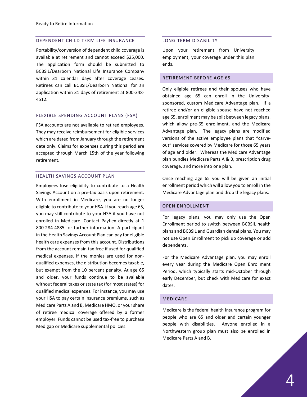#### DEPENDENT CHILD TERM LIFE INSURANCE

Portability/conversion of dependent child coverage is available at retirement and cannot exceed \$25,000. The application form should be submitted to BCBSIL/Dearborn National Life Insurance Company within 31 calendar days after coverage ceases. Retirees can call BCBSIL/Dearborn National for an application within 31 days of retirement at 800-348- 4512.

#### FLEXIBLE SPENDING ACCOUNT PLANS (FSA)

FSA accounts are not available to retired employees. They may receive reimbursement for eligible services which are dated from January through the retirement date only. Claims for expenses during this period are accepted through March 15th of the year following retirement.

#### HEALTH SAVINGS ACCOUNT PLAN

Employees lose eligibility to contribute to a Health Savings Account on a pre-tax basis upon retirement. With enrollment in Medicare, you are no longer eligible to contribute to your HSA. If you reach age 65, you may still contribute to your HSA if you have not enrolled in Medicare. Contact Payflex directly at 1 800-284-4885 for further information. A participant in the Health Savings Account Plan can pay for eligible health care expenses from this account. Distributions from the account remain tax-free if used for qualified medical expenses. If the monies are used for nonqualified expenses, the distribution becomes taxable, but exempt from the 10 percent penalty. At age 65 and older, your funds continue to be available without federal taxes or state tax (for most states) for qualified medical expenses. For instance, you may use your HSA to pay certain insurance premiums, such as Medicare Parts A and B, Medicare HMO, or your share of retiree medical coverage offered by a former employer. Funds cannot be used tax-free to purchase Medigap or Medicare supplemental policies.

#### LONG TERM DISABILITY

Upon your retirement from University employment, your coverage under this plan ends.

#### <span id="page-3-0"></span>RETIREMENT BEFORE AGE 65

Only eligible retirees and their spouses who have obtained age 65 can enroll in the Universitysponsored, custom Medicare Advantage plan. If a retiree and/or an eligible spouse have not reached age 65, enrollment may be split between legacy plans, which allow pre-65 enrollment, and the Medicare Advantage plan. The legacy plans are modified versions of the active employee plans that "carveout" services covered by Medicare for those 65 years of age and older. Whereas the Medicare Advantage plan bundles Medicare Parts A & B, prescription drug coverage, and more into one plan.

Once reaching age 65 you will be given an initial enrollment period which will allow you to enroll in the Medicare Advantage plan and drop the legacy plans.

#### OPEN ENROLLMENT

For legacy plans, you may only use the Open Enrollment period to switch between BCBSIL health plans and BCBSIL and Guardian dental plans. You may not use Open Enrollment to pick up coverage or add dependents.

For the Medicare Advantage plan, you may enroll every year during the Medicare Open Enrollment Period, which typically starts mid-October through early December, but check with Medicare for exact dates.

#### <span id="page-3-1"></span>MEDICARE

Medicare is the federal health insurance program for people who are 65 and older and certain younger people with disabilities. Anyone enrolled in a Northwestern group plan must also be enrolled in Medicare Parts A and B.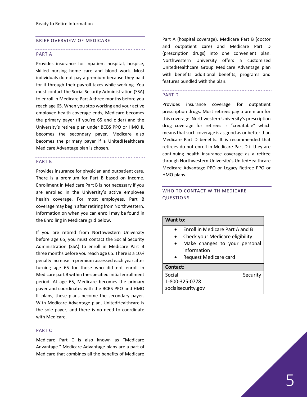#### BRIEF OVERVIEW OF MEDICARE

#### PART A

Provides insurance for inpatient hospital, hospice, skilled nursing home care and blood work. Most individuals do not pay a premium because they paid for it through their payroll taxes while working. You must contact the Social Security Administration (SSA) to enroll in Medicare Part A three months before you reach age 65. When you stop working and your active employee health coverage ends, Medicare becomes the primary payer (if you're 65 and older) and the University's retiree plan under BCBS PPO or HMO IL becomes the secondary payer. Medicare also becomes the primary payer if a UnitedHealthcare Medicare Advantage plan is chosen.

#### PART B

Provides insurance for physician and outpatient care. There is a premium for Part B based on income. Enrollment in Medicare Part B is not necessary if you are enrolled in the University's active employee health coverage. For most employees, Part B coverage may begin after retiring from Northwestern. Information on when you can enroll may be found in the Enrolling in Medicare grid below.

If you are retired from Northwestern University before age 65, you must contact the Social Security Administration (SSA) to enroll in Medicare Part B three months before you reach age 65. There is a 10% penalty increase in premium assessed each year after turning age 65 for those who did not enroll in Medicare part B within the specified initial enrollment period. At age 65, Medicare becomes the primary payer and coordinates with the BCBS PPO and HMO IL plans; these plans become the secondary payer. With Medicare Advantage plan, UnitedHealthcare is the sole payer, and there is no need to coordinate with Medicare.

#### PART C

Medicare Part C is also known as "Medicare Advantage." Medicare Advantage plans are a part of Medicare that combines all the benefits of Medicare

Part A (hospital coverage), Medicare Part B (doctor and outpatient care) and Medicare Part D (prescription drugs) into one convenient plan. Northwestern University offers a customized UnitedHealthcare Group Medicare Advantage plan with benefits additional benefits, programs and features bundled with the plan.

#### PART D

Provides insurance coverage for outpatient prescription drugs. Most retirees pay a premium for this coverage. Northwestern University's prescription drug coverage for retirees is "creditable" which means that such coverage is as good as or better than Medicare Part D benefits. It is recommended that retirees do not enroll in Medicare Part D if they are continuing health insurance coverage as a retiree through Northwestern University's UnitedHealthcare Medicare Advantage PPO or Legacy Retiree PPO or HMO plans.

#### WHO TO CONTACT WITH MEDICARE QUESTIONS

#### **Want to:**

- Enroll in Medicare Part A and B
- Check your Medicare eligibility
- Make changes to your personal information
- Request Medicare card

#### **Contact:**

Social Social Security 1-800-325-0778 socialsecurity.gov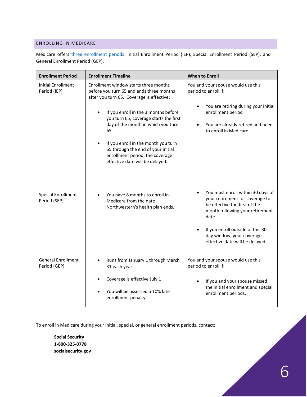#### <span id="page-5-0"></span>ENROLLING IN MEDICARE

Medicare offers *three enrollment periods*: Initial Enrollment Period (IEP), Special Enrollment Period (SEP), and General Enrollment Period (GEP).

| <b>Enrollment Period</b>                  | <b>Enrollment Timeline</b>                                                                                                                                                                                                                                                                                                                                                                                       | <b>When to Enroll</b>                                                                                                                                                                                                                                              |
|-------------------------------------------|------------------------------------------------------------------------------------------------------------------------------------------------------------------------------------------------------------------------------------------------------------------------------------------------------------------------------------------------------------------------------------------------------------------|--------------------------------------------------------------------------------------------------------------------------------------------------------------------------------------------------------------------------------------------------------------------|
| <b>Initial Enrollment</b><br>Period (IEP) | Enrollment window starts three months<br>before you turn 65 and ends three months<br>after you turn 65. Coverage is effective:<br>If you enroll in the 3 months before<br>you turn 65, coverage starts the first<br>day of the month in which you turn<br>65.<br>If you enroll in the month you turn<br>65 through the end of your initial<br>enrollment period, the coverage<br>effective date will be delayed. | You and your spouse would use this<br>period to enroll if:<br>You are retiring during your initial<br>enrollment period<br>You are already retired and need<br>$\bullet$<br>to enroll in Medicare                                                                  |
| <b>Special Enrollment</b><br>Period (SEP) | You have 8 months to enroll in<br>Medicare from the date<br>Northwestern's health plan ends.                                                                                                                                                                                                                                                                                                                     | You must enroll within 30 days of<br>$\bullet$<br>your retirement for coverage to<br>be effective the first of the<br>month following your retirement<br>date.<br>If you enroll outside of this 30<br>day window, your coverage<br>effective date will be delayed. |
| <b>General Enrollment</b><br>Period (GEP) | Runs from January 1 through March<br>31 each year<br>Coverage is effective July 1<br>You will be assessed a 10% late<br>enrollment penalty                                                                                                                                                                                                                                                                       | You and your spouse would use this<br>period to enroll if:<br>If you and your spouse missed<br>the initial enrollment and special<br>enrollment periods.                                                                                                           |

To enroll in Medicare during your initial, special, or general enrollment periods, contact:

**Social Security 1-800-325-0778 socialsecurity.gov**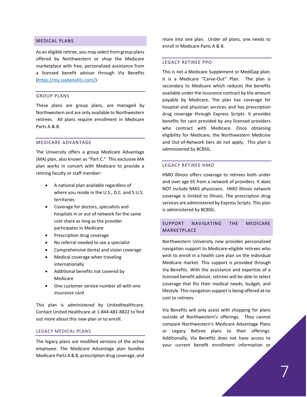#### <span id="page-6-0"></span>MEDICAL PLANS

As an eligible retiree, you may select from group plans offered by Northwestern or shop the Medicare marketplace with free, personalized assistance from a licensed benefit advisor through Via Benefits [\(https://my.viabenefits.com/\)](https://my.viabenefits.com/).

#### GROUP PLANS

These plans are group plans, are managed by Northwestern and are only available to Northwestern retirees. All plans require enrollment in Medicare Parts A & B.

#### MEDICARE ADVANTAGE

The University offers a group Medicare Advantage (MA) plan, also known as "Part C." This exclusive MA plan works in concert with Medicare to provide a retiring faculty or staff member:

- A national plan available regardless of where you reside in the U.S., D.C. and 5 U.S. territories
- Coverage for doctors, specialists and hospitals in or out of network for the same cost share as long as the provider participates in Medicare
- Prescription drug coverage
- No referral needed to see a specialist
- Comprehensive dental and vision coverage
- Medical coverage when traveling internationally
- Additional benefits not covered by Medicare
- One customer service number all with one insurance card

This plan is administered by UnitedHealthcare. Contact United Healthcare at 1-844-481-8822 to find out more about this new plan or to enroll.

#### LEGACY MEDICAL PLANS

The legacy plans are modified versions of the active employee. The Medicare Advantage plan bundles Medicare Parts A & B, prescription drug coverage, and

more into one plan. Under all plans, one needs to enroll in Medicare Parts A & B.

#### LEGACY RETIREE PPO

This is not a Medicare Supplement or MediGap plan; it is a Medicare "Carve-Out" Plan. The plan is secondary to Medicare which reduces the benefits available under the insurance contract by the amount payable by Medicare. The plan has coverage for hospital and physician services and has prescription drug coverage through Express Scripts. It provides benefits for care provided by any licensed providers who contract with Medicare. Once obtaining eligibility for Medicare, the Northwestern Medicine and Out-of-Network tiers do not apply. This plan is administered by BCBSIL.

#### LEGACY RETIREE HMO

HMO Illinois offers coverage to retirees both under and over age 65 from a network of providers. It does NOT include NMG physicians. HMO Illinois network coverage is limited to Illinois. The prescription drug services are administered by Express Scripts. This plan is administered by BCBSIL.

#### <span id="page-6-1"></span>SUPPORT NAVIGATING THE MEDICARE MARKETPLACE

Northwestern University now provides personalized navigation support to Medicare-eligible retirees who wish to enroll in a health care plan on the individual Medicare market. This support is provided through Via Benefits. With the assistance and expertise of a licensed benefit advisor, retirees will be able to select coverage that fits their medical needs, budget, and lifestyle. This navigation support is being offered at no cost to retirees.

Via Benefits will only assist with shopping for plans outside of Northwestern's offerings. They cannot compare Northwestern's Medicare Advantage Plans or Legacy Retiree plans to their offerings. Additionally, Via Benefits does not have access to your current benefit enrollment information or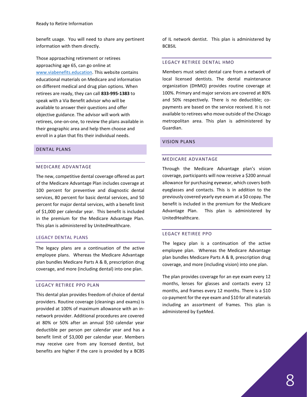benefit usage. You will need to share any pertinent information with them directly.

Those approaching retirement or retirees approaching age 65, can go online at [www.viabenefits.education.](http://www.viabenefits.education/) This website contains educational materials on Medicare and information on different medical and drug plan options. When retirees are ready, they can call **833-995-1383** to speak with a Via Benefit advisor who will be available to answer their questions and offer objective guidance. The advisor will work with retirees, one-on-one, to review the plans available in their geographic area and help them choose and enroll in a plan that fits their individual needs.

#### <span id="page-7-0"></span>DENTAL PLANS

#### MEDICARE ADVANTAGE

The new, competitive dental coverage offered as part of the Medicare Advantage Plan includes coverage at 100 percent for preventive and diagnostic dental services, 80 percent for basic dental services, and 50 percent for major dental services, with a benefit limit of \$1,000 per calendar year. This benefit is included in the premium for the Medicare Advantage Plan. This plan is administered by UnitedHealthcare.

#### LEGACY DENTAL PLANS

The legacy plans are a continuation of the active employee plans. Whereas the Medicare Advantage plan bundles Medicare Parts A & B, prescription drug coverage, and more (including dental) into one plan.

#### LEGACY RETIREE PPO PLAN

This dental plan provides freedom of choice of dental providers. Routine coverage (cleanings and exams) is provided at 100% of maximum allowance with an innetwork provider. Additional procedures are covered at 80% or 50% after an annual \$50 calendar year deductible per person per calendar year and has a benefit limit of \$3,000 per calendar year. Members may receive care from any licensed dentist, but benefits are higher if the care is provided by a BCBS of IL network dentist. This plan is administered by **BCBSIL** 

#### LEGACY RETIREE DENTAL HMO

Members must select dental care from a network of local licensed dentists. The dental maintenance organization (DHMO) provides routine coverage at 100%. Primary and major services are covered at 80% and 50% respectively. There is no deductible; copayments are based on the service received. It is not available to retirees who move outside of the Chicago metropolitan area. This plan is administered by Guardian.

#### <span id="page-7-1"></span>VISION PLANS

#### MEDICARE ADVANTAGE

Through the Medicare Advantage plan's vision coverage, participants will now receive a \$200 annual allowance for purchasing eyewear, which covers both eyeglasses and contacts. This is in addition to the previously covered yearly eye exam at a \$0 copay. The benefit is included in the premium for the Medicare Advantage Plan. This plan is administered by UnitedHealthcare.

#### LEGACY RETIREE PPO

The legacy plan is a continuation of the active employee plan. Whereas the Medicare Advantage plan bundles Medicare Parts A & B, prescription drug coverage, and more (including vision) into one plan.

The plan provides coverage for an eye exam every 12 months, lenses for glasses and contacts every 12 months, and frames every 12 months. There is a \$10 co-payment for the eye exam and \$10 for all materials including an assortment of frames. This plan is administered by EyeMed.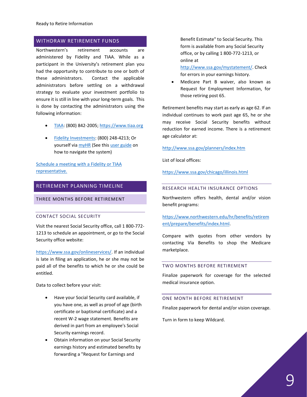#### <span id="page-8-0"></span>WITHDRAW RETIREMENT FUNDS

Northwestern's retirement accounts are administered by Fidelity and TIAA. While as a participant in the University's retirement plan you had the opportunity to contribute to one or both of these administrators. Contact the applicable administrators before settling on a withdrawal strategy to evaluate your investment portfolio to ensure it is still in line with your long-term goals. This is done by contacting the administrators using the following information:

- [TIAA:](https://www.tiaa.org/public/index.html) (800) 842-2005; [https://www.tiaa.org](https://www.tiaa.org/)
- [Fidelity Investments:](https://nb.fidelity.com/public/nb/atwork/home) (800) 248-4213; Or yourself via [myHR](https://myhr.northwestern.edu/) (See this [user guide](https://www.northwestern.edu/hr/documents/benefits/navigating_savings_plans_ma) on how to navigate the system)

[Schedule a meeting with a](https://www.northwestern.edu/hr/benefits/retirement/plan/meet-with-a-representative.html) Fidelity or TIAA [representative.](https://www.northwestern.edu/hr/benefits/retirement/plan/meet-with-a-representative.html)

### <span id="page-8-1"></span>RETIREMENT PLANNING TIMELINE

THREE MONTHS BEFORE RETIREMENT

#### CONTACT SOCIAL SECURITY

Visit the nearest Social Security office, call 1 800-772- 1213 to schedule an appointment, or go to the Social Security office website:

[https://www.ssa.gov/onlineservices/.](https://www.ssa.gov/onlineservices/) If an individual is late in filing an application, he or she may not be paid all of the benefits to which he or she could be entitled.

Data to collect before your visit:

- Have your Social Security card available, if you have one, as well as proof of age (birth certificate or baptismal certificate) and a recent W-2 wage statement. Benefits are derived in part from an employee's Social Security earnings record.
- Obtain information on your Social Security earnings history and estimated benefits by forwarding a "Request for Earnings and

Benefit Estimate" to Social Security. This form is available from any Social Security office, or by calling 1 800-772-1213, or online at

[http://www.ssa.gov/mystatement/.](http://www.ssa.gov/mystatement/) Check for errors in your earnings history.

Medicare Part B waiver, also known as Request for Employment Information, for those retiring post 65.

Retirement benefits may start as early as age 62. If an individual continues to work past age 65, he or she may receive Social Security benefits without reduction for earned income. There is a retirement age calculator at:

#### <http://www.ssa.gov/planners/index.htm>

List of local offices:

<https://www.ssa.gov/chicago/illinois.html>

#### RESEARCH HEALTH INSURANCE OPTIONS

Northwestern offers health, dental and/or vision benefit programs:

[https://www.northwestern.edu/hr/benefits/retirem](https://www.northwestern.edu/hr/benefits/retirement/prepare/benefits/index.html) [ent/prepare/benefits/index.html.](https://www.northwestern.edu/hr/benefits/retirement/prepare/benefits/index.html)

Compare with quotes from other vendors by contacting Via Benefits to shop the Medicare marketplace.

#### TWO MONTHS BEFORE RETIREMENT

Finalize paperwork for coverage for the selected medical insurance option.

#### ONE MONTH BEFORE RETIREMENT

Finalize paperwork for dental and/or vision coverage.

Turn in form to keep Wildcard.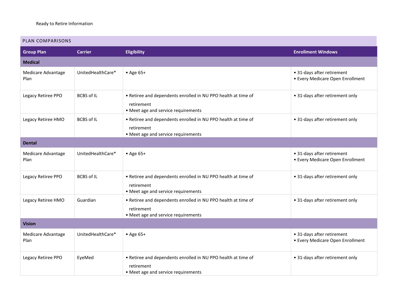#### PLAN COMPARISONS

| <b>Group Plan</b>          | <b>Carrier</b>    | <b>Eligibility</b>                                                                                                 | <b>Enrollment Windows</b>                                      |
|----------------------------|-------------------|--------------------------------------------------------------------------------------------------------------------|----------------------------------------------------------------|
| <b>Medical</b>             |                   |                                                                                                                    |                                                                |
| Medicare Advantage<br>Plan | UnitedHealthCare* | • Age 65+                                                                                                          | • 31-days after retirement<br>• Every Medicare Open Enrollment |
| Legacy Retiree PPO         | <b>BCBS of IL</b> | • Retiree and dependents enrolled in NU PPO health at time of<br>retirement<br>• Meet age and service requirements | • 31-days after retirement only                                |
| Legacy Retiree HMO         | <b>BCBS of IL</b> | • Retiree and dependents enrolled in NU PPO health at time of<br>retirement<br>• Meet age and service requirements | • 31-days after retirement only                                |
| <b>Dental</b>              |                   |                                                                                                                    |                                                                |
| Medicare Advantage<br>Plan | UnitedHealthCare* | • Age 65+                                                                                                          | • 31-days after retirement<br>• Every Medicare Open Enrollment |
| Legacy Retiree PPO         | <b>BCBS of IL</b> | • Retiree and dependents enrolled in NU PPO health at time of<br>retirement<br>• Meet age and service requirements | • 31-days after retirement only                                |
| Legacy Retiree HMO         | Guardian          | • Retiree and dependents enrolled in NU PPO health at time of<br>retirement<br>• Meet age and service requirements | • 31-days after retirement only                                |
| <b>Vision</b>              |                   |                                                                                                                    |                                                                |
| Medicare Advantage<br>Plan | UnitedHealthCare* | • Age 65+                                                                                                          | • 31-days after retirement<br>• Every Medicare Open Enrollment |
| Legacy Retiree PPO         | EyeMed            | • Retiree and dependents enrolled in NU PPO health at time of<br>retirement<br>• Meet age and service requirements | • 31-days after retirement only                                |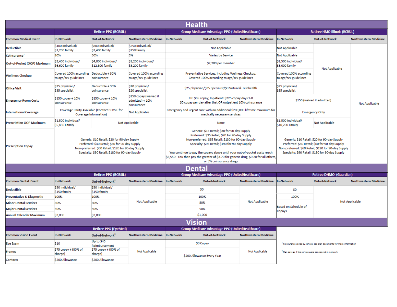| <b>Health</b>                 |                                                                                                                                                                                                          |                                                                        |                                                                                                                                                                                                                                                                                                                                                                                                          |                                                                                                               |                                                                                                                                                                                                          |                                |                                                                     |                                                                                     |                              |
|-------------------------------|----------------------------------------------------------------------------------------------------------------------------------------------------------------------------------------------------------|------------------------------------------------------------------------|----------------------------------------------------------------------------------------------------------------------------------------------------------------------------------------------------------------------------------------------------------------------------------------------------------------------------------------------------------------------------------------------------------|---------------------------------------------------------------------------------------------------------------|----------------------------------------------------------------------------------------------------------------------------------------------------------------------------------------------------------|--------------------------------|---------------------------------------------------------------------|-------------------------------------------------------------------------------------|------------------------------|
|                               | <b>Retiree PPO (BCBSIL)</b>                                                                                                                                                                              |                                                                        | <b>Group Medicare Advantage PPO (UnitedHealthcare)</b>                                                                                                                                                                                                                                                                                                                                                   |                                                                                                               | <b>Retiree HMO Illinois (BCBSIL)</b>                                                                                                                                                                     |                                |                                                                     |                                                                                     |                              |
| <b>Common Medical Event</b>   | <b>In-Network</b>                                                                                                                                                                                        | <b>Out-of-Network</b>                                                  | Northwestern Medicine                                                                                                                                                                                                                                                                                                                                                                                    | <b>In-Network</b>                                                                                             | <b>Out-of-Network</b>                                                                                                                                                                                    | <b>Northwestern Medicine</b>   | <b>In-Network</b>                                                   | <b>Out-of-Network</b>                                                               | <b>Northwestern Medicine</b> |
| <b>Deductible</b>             | \$400 individual/<br>\$1,200 family                                                                                                                                                                      | \$800 individual/<br>\$2,400 family                                    | \$250 individual/<br>\$750 family                                                                                                                                                                                                                                                                                                                                                                        |                                                                                                               | Not Applicable                                                                                                                                                                                           |                                | Not Applicable                                                      |                                                                                     |                              |
| Coinsurance <sup>1</sup>      | 10%                                                                                                                                                                                                      | 30%                                                                    | 5%                                                                                                                                                                                                                                                                                                                                                                                                       |                                                                                                               | Varies by Service                                                                                                                                                                                        |                                | Not Applicable                                                      |                                                                                     |                              |
| Out-of-Pocket (OOP) Maximum   | \$2,400 individual/<br>\$6,600 family                                                                                                                                                                    | \$4,800 individual/<br>\$12,800 family                                 | \$1,200 individual/<br>\$3,200 family                                                                                                                                                                                                                                                                                                                                                                    |                                                                                                               | \$2,200 per member                                                                                                                                                                                       |                                | \$1,500 individual/<br>\$3,000 family                               | Not Applicable                                                                      |                              |
| <b>Wellness Checkup</b>       | Covered 100% according<br>to age/sex guidelines                                                                                                                                                          | Deductible + 30%<br>coinsurance                                        | Covered 100% according<br>to age/sex guidelines                                                                                                                                                                                                                                                                                                                                                          |                                                                                                               | Preventative Services, including Wellness Checkup:<br>Covered 100% according to age/sex guidelines                                                                                                       |                                | Covered 100% according<br>to age/sex guidelines                     |                                                                                     |                              |
| Office Visit                  | \$25 physician/<br>\$35 specialist                                                                                                                                                                       | Deductible + 30%<br>coinsurance                                        | \$10 physician/<br>\$20 specialist                                                                                                                                                                                                                                                                                                                                                                       |                                                                                                               | \$25 physician/\$35 Specialist/\$0 Virtual & Telehealth                                                                                                                                                  |                                | \$25 physician/<br>\$35 specialist                                  |                                                                                     |                              |
| <b>Emergency Room Costs</b>   | \$150 copay + 10%<br>coinsurance                                                                                                                                                                         | \$150 copay + 10%<br>coinsurance                                       | \$150 copay (waived if<br>admitted) + 10%<br>coinsurance                                                                                                                                                                                                                                                                                                                                                 | ER: \$65 copay; Inpatient: \$225 copay days 1-8<br>\$0 copay per day after that OR outpatient 10% coinsurance |                                                                                                                                                                                                          | \$150 (waived if admitted)     |                                                                     | Not Applicable                                                                      |                              |
| <b>International Coverage</b> |                                                                                                                                                                                                          | Coverage Parity Available (Contact BCBSIL for<br>Coverage Information) | Not Applicable                                                                                                                                                                                                                                                                                                                                                                                           | Emergency and urgent care with an additional \$200,000 lifetime maximum for<br>medically necessary services   |                                                                                                                                                                                                          | <b>Emergency Only</b>          |                                                                     |                                                                                     |                              |
| Prescription OOP Maximum      | \$1,500 Individual/<br>\$5,450 Family                                                                                                                                                                    |                                                                        | Not Applicable                                                                                                                                                                                                                                                                                                                                                                                           |                                                                                                               | None                                                                                                                                                                                                     |                                | \$1,500 Individual/<br>\$10,200 Family                              | Not Applicable                                                                      |                              |
| <b>Prescription Copay</b>     | Generic: \$10 Retail: \$20 for 90-day Supply<br>Preferred: \$30 Retail; \$60 for 90-day Supply<br>Non-preferred: \$60 Retail; \$120 for 90-day Supply<br>Specialty: \$90 Retail; \$180 for 90-day Supply |                                                                        | Generic: \$15 Retail; \$30 for 90-day Supply<br>Preferred: \$35 Retail; \$70 for 90-day Supply<br>Non-preferred: \$65 Retail; \$130 for 90-day Supply<br>Specialty: \$95 Retail; \$190 for 90-day Supply<br>You continue to pay the copays above until your out-of-pocket costs reach<br>\$6,550: You then pay the greater of \$3.70 for generic drug, \$9.20 for all others,<br>or 5% coinsurance drugs |                                                                                                               | Generic: \$10 Retail: \$20 for 90-day Supply<br>Preferred: \$30 Retail; \$60 for 90-day Supply<br>Non-preferred: \$60 Retail; \$120 for 90-day Supply<br>Specialty: \$90 Retail; \$180 for 90-day Supply |                                |                                                                     |                                                                                     |                              |
| <b>Dental</b>                 |                                                                                                                                                                                                          |                                                                        |                                                                                                                                                                                                                                                                                                                                                                                                          |                                                                                                               |                                                                                                                                                                                                          |                                |                                                                     |                                                                                     |                              |
|                               |                                                                                                                                                                                                          | <b>Retiree PPO (BCBSIL)</b>                                            |                                                                                                                                                                                                                                                                                                                                                                                                          | <b>Group Medicare Advantage PPO (UnitedHealthcare)</b>                                                        |                                                                                                                                                                                                          | <b>Retiree DHMO (Guardian)</b> |                                                                     |                                                                                     |                              |
| <b>Common Dental Event</b>    | <b>In-Network</b>                                                                                                                                                                                        | Out-of-Network <sup>2</sup>                                            | <b>Northwestern Medicine</b>                                                                                                                                                                                                                                                                                                                                                                             | <b>In-Network</b>                                                                                             | Out-of-Network                                                                                                                                                                                           | <b>Northwestern Medicine</b>   | In-Network                                                          | Out-of-Network                                                                      | <b>Northwestern Medicine</b> |
| <b>Deductible</b>             | \$50 individual/<br>\$150 family                                                                                                                                                                         | \$50 individual/<br>\$150 family                                       |                                                                                                                                                                                                                                                                                                                                                                                                          |                                                                                                               | \$0                                                                                                                                                                                                      |                                | \$0                                                                 |                                                                                     |                              |
| Preventative & Diagnostic     | 100%                                                                                                                                                                                                     | 100%                                                                   |                                                                                                                                                                                                                                                                                                                                                                                                          |                                                                                                               | 100%                                                                                                                                                                                                     |                                | 100%                                                                |                                                                                     |                              |
| <b>Minor Dental Services</b>  | 80%                                                                                                                                                                                                      | 80%                                                                    | Not Applicable                                                                                                                                                                                                                                                                                                                                                                                           |                                                                                                               | 80%                                                                                                                                                                                                      | Not Applicable                 |                                                                     | Not Applicable                                                                      |                              |
| <b>Major Dental Services</b>  | 50%                                                                                                                                                                                                      | 50%                                                                    |                                                                                                                                                                                                                                                                                                                                                                                                          |                                                                                                               | 50%                                                                                                                                                                                                      |                                | Based on Schedule of<br>Copays                                      |                                                                                     |                              |
| Annual Calendar Maximum       | \$3,000                                                                                                                                                                                                  | \$3,000                                                                |                                                                                                                                                                                                                                                                                                                                                                                                          |                                                                                                               | \$1,000                                                                                                                                                                                                  |                                |                                                                     |                                                                                     |                              |
| <b>Vision</b>                 |                                                                                                                                                                                                          |                                                                        |                                                                                                                                                                                                                                                                                                                                                                                                          |                                                                                                               |                                                                                                                                                                                                          |                                |                                                                     |                                                                                     |                              |
|                               |                                                                                                                                                                                                          | <b>Retiree PPO (EyeMed)</b>                                            |                                                                                                                                                                                                                                                                                                                                                                                                          |                                                                                                               | <b>Group Medicare Advantage PPO (UnitedHealthcare)</b>                                                                                                                                                   |                                |                                                                     |                                                                                     |                              |
| <b>Common Vision Event</b>    | <b>In-Network</b>                                                                                                                                                                                        | Out-of-Network <sup>2</sup>                                            | <b>Northwestern Medicine</b>                                                                                                                                                                                                                                                                                                                                                                             | <b>In-Network</b>                                                                                             | Out-of-Network                                                                                                                                                                                           | <b>Northwestern Medicine</b>   |                                                                     |                                                                                     |                              |
| <b>Eye Exam</b>               | \$10                                                                                                                                                                                                     | Up to \$40<br>Reimbursement                                            |                                                                                                                                                                                                                                                                                                                                                                                                          |                                                                                                               | \$0 Copay                                                                                                                                                                                                |                                |                                                                     | <sup>1</sup> Coinsurance varies by service, see plan documents for more information |                              |
| Frames                        | \$75 copay + (80% of<br>charge)                                                                                                                                                                          | \$75 copay + (80% of<br>charge)                                        | <b>Not Applicable</b>                                                                                                                                                                                                                                                                                                                                                                                    | <b>Not Applicable</b><br>\$200 Allowance Every Year                                                           |                                                                                                                                                                                                          |                                | <sup>2</sup> Plan pays as if the service were considered in-network |                                                                                     |                              |
| Contacts                      | \$200 Allowance                                                                                                                                                                                          | \$200 Allowance                                                        |                                                                                                                                                                                                                                                                                                                                                                                                          |                                                                                                               |                                                                                                                                                                                                          |                                |                                                                     |                                                                                     |                              |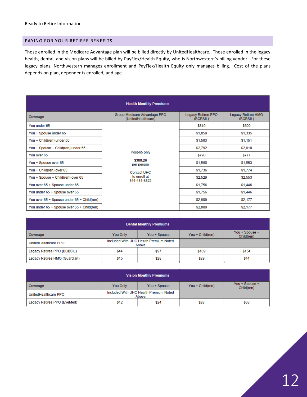#### PAYING FOR YOUR RETIREE BENEFITS

Those enrolled in the Medicare Advantage plan will be billed directly by UnitedHealthcare. Those enrolled in the legacy health, dental, and vision plans will be billed by PayFlex/Health Equity, who is Northwestern's billing vendor. For these legacy plans, Northwestern manages enrollment and PayFlex/Health Equity only manages billing. Cost of the plans depends on plan, dependents enrolled, and age.

| <b>Health Monthly Premiums</b>             |                                                                                              |                                |                                |  |  |  |
|--------------------------------------------|----------------------------------------------------------------------------------------------|--------------------------------|--------------------------------|--|--|--|
| Coverage                                   | Group Medicare Advantage PPO<br>(UnitedHealthcare)                                           | Legacy Retiree PPO<br>(BCBSIL) | Legacy Retiree HMO<br>(BCBSIL) |  |  |  |
| You under 65                               |                                                                                              | \$849                          | \$609                          |  |  |  |
| You + Spouse under 65                      |                                                                                              | \$1,859                        | \$1,335                        |  |  |  |
| You + Child(ren) under 65                  | Post-65 only<br>\$388.26<br>per person<br><b>Contact UHC</b><br>to enroll at<br>844-481-8822 | \$1,583                        | \$1,151                        |  |  |  |
| You + Spouse + Child(ren) under 65         |                                                                                              | \$2,792                        | \$2,010                        |  |  |  |
| You over 65                                |                                                                                              | \$790                          | <b>\$777</b>                   |  |  |  |
| You + Spouse over 65                       |                                                                                              | \$1,580                        | \$1,553                        |  |  |  |
| You + Child(ren) over 65                   |                                                                                              | \$1,736                        | \$1,774                        |  |  |  |
| You + Spouse + Child(ren) over 65          |                                                                                              | \$2,529                        | \$2,553                        |  |  |  |
| You over 65 + Spouse under 65              |                                                                                              | \$1,756                        | \$1,446                        |  |  |  |
| You under 65 + Spouse over 65              |                                                                                              | \$1,756                        | \$1,446                        |  |  |  |
| You over 65 + Spouse under 65 + Child(ren) |                                                                                              | \$2,809                        | \$2,177                        |  |  |  |
| You under 65 + Spouse over 65 + Child(ren) |                                                                                              | \$2,809                        | \$2,177                        |  |  |  |

| <b>Dental Monthly Premiums</b> |          |                                                 |                  |                              |  |
|--------------------------------|----------|-------------------------------------------------|------------------|------------------------------|--|
| Coverage                       | You Only | You + Spouse                                    | You + Child(ren) | You + Spouse +<br>Child(ren) |  |
| UnitedHealthcare PPO           |          | Included With UHC Health Premium Noted<br>Above |                  |                              |  |
| Legacy Retiree PPO (BCBSIL)    | \$44     | \$97                                            | \$109            | \$154                        |  |
| Legacy Retiree HMO (Guardian)  | \$15     | \$28                                            | \$29             | \$44                         |  |

| <b>Vision Monthly Premiums</b> |          |                                                 |                     |                              |  |
|--------------------------------|----------|-------------------------------------------------|---------------------|------------------------------|--|
| Coverage                       | You Only | You + Spouse                                    | $You + Child (ren)$ | You + Spouse +<br>Child(ren) |  |
| UnitedHealthcare PPO           |          | Included With UHC Health Premium Noted<br>Above |                     |                              |  |
| Legacy Retiree PPO (EyeMed)    | \$12     | \$24                                            | \$28                | \$33                         |  |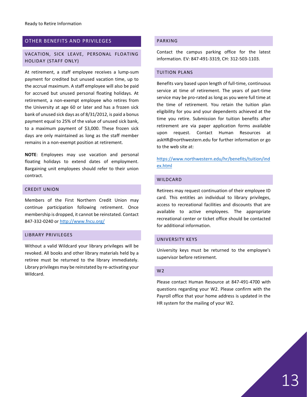#### <span id="page-12-0"></span>OTHER BENEFITS AND PRIVILEGES

#### VACATION, SICK LEAVE, PERSONAL FLOATING HOLIDAY (STAFF ONLY)

At retirement, a staff employee receives a lump-sum payment for credited but unused vacation time, up to the accrual maximum. A staff employee will also be paid for accrued but unused personal floating holidays. At retirement, a non-exempt employee who retires from the University at age 60 or later and has a frozen sick bank of unused sick days as of 8/31/2012, is paid a bonus payment equal to 25% of the value of unused sick bank, to a maximum payment of \$3,000. These frozen sick days are only maintained as long as the staff member remains in a non-exempt position at retirement.

**NOTE**: Employees may use vacation and personal floating holidays to extend dates of employment. Bargaining unit employees should refer to their union contract.

#### CREDIT UNION

Members of the First Northern Credit Union may continue participation following retirement. Once membership is dropped, it cannot be reinstated. Contact 847-332-0240 o[r http://www.fncu.org/](http://www.fncu.org/)

#### LIBRARY PRIVILEGES

Without a valid Wildcard your library privileges will be revoked. All books and other library materials held by a retiree must be returned to the library immediately. Library privileges may be reinstated by re-activating your Wildcard.

#### PARKING

Contact the campus parking office for the latest information. EV: 847-491-3319, CH: 312-503-1103.

#### TUITION PLANS

Benefits vary based upon length of full-time, continuous service at time of retirement. The years of part-time service may be pro-rated as long as you were full time at the time of retirement. You retain the tuition plan eligibility for you and your dependents achieved at the time you retire. Submission for tuition benefits after retirement are via paper application forms available upon request. Contact Human Resources at askHR@northwestern.edu for further information or go to the web site at:

[https://www.northwestern.edu/hr/benefits/tuition/ind](https://www.northwestern.edu/hr/benefits/tuition/index.html) [ex.html](https://www.northwestern.edu/hr/benefits/tuition/index.html)

#### WILDCARD

Retirees may request continuation of their employee ID card. This entitles an individual to library privileges, access to recreational facilities and discounts that are available to active employees. The appropriate recreational center or ticket office should be contacted for additional information.

#### UNIVERSITY KEYS

University keys must be returned to the employee's supervisor before retirement.

#### W2

Please contact Human Resource at 847-491-4700 with questions regarding your W2. Please confirm with the Payroll office that your home address is updated in the HR system for the mailing of your W2.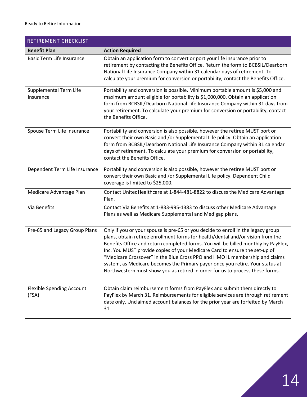<span id="page-13-0"></span>

| RETIREMENT CHECKLIST                      |                                                                                                                                                                                                                                                                                                                                                                                                                                                                                                                                                                                          |
|-------------------------------------------|------------------------------------------------------------------------------------------------------------------------------------------------------------------------------------------------------------------------------------------------------------------------------------------------------------------------------------------------------------------------------------------------------------------------------------------------------------------------------------------------------------------------------------------------------------------------------------------|
| <b>Benefit Plan</b>                       | <b>Action Required</b>                                                                                                                                                                                                                                                                                                                                                                                                                                                                                                                                                                   |
| <b>Basic Term Life Insurance</b>          | Obtain an application form to convert or port your life insurance prior to<br>retirement by contacting the Benefits Office. Return the form to BCBSIL/Dearborn<br>National Life Insurance Company within 31 calendar days of retirement. To<br>calculate your premium for conversion or portability, contact the Benefits Office.                                                                                                                                                                                                                                                        |
| Supplemental Term Life<br>Insurance       | Portability and conversion is possible. Minimum portable amount is \$5,000 and<br>maximum amount eligible for portability is \$1,000,000. Obtain an application<br>form from BCBSIL/Dearborn National Life Insurance Company within 31 days from<br>your retirement. To calculate your premium for conversion or portability, contact<br>the Benefits Office.                                                                                                                                                                                                                            |
| Spouse Term Life Insurance                | Portability and conversion is also possible, however the retiree MUST port or<br>convert their own Basic and /or Supplemental Life policy. Obtain an application<br>form from BCBSIL/Dearborn National Life Insurance Company within 31 calendar<br>days of retirement. To calculate your premium for conversion or portability,<br>contact the Benefits Office.                                                                                                                                                                                                                         |
| Dependent Term Life Insurance             | Portability and conversion is also possible, however the retiree MUST port or<br>convert their own Basic and /or Supplemental Life policy. Dependent Child<br>coverage is limited to \$25,000.                                                                                                                                                                                                                                                                                                                                                                                           |
| Medicare Advantage Plan                   | Contact UnitedHealthcare at 1-844-481-8822 to discuss the Medicare Advantage<br>Plan.                                                                                                                                                                                                                                                                                                                                                                                                                                                                                                    |
| Via Benefits                              | Contact Via Benefits at 1-833-995-1383 to discuss other Medicare Advantage<br>Plans as well as Medicare Supplemental and Medigap plans.                                                                                                                                                                                                                                                                                                                                                                                                                                                  |
| Pre-65 and Legacy Group Plans             | Only if you or your spouse is pre-65 or you decide to enroll in the legacy group<br>plans, obtain retiree enrollment forms for health/dental and/or vision from the<br>Benefits Office and return completed forms. You will be billed monthly by PayFlex,<br>Inc. You MUST provide copies of your Medicare Card to ensure the set-up of<br>"Medicare Crossover" in the Blue Cross PPO and HMO IL membership and claims<br>system, as Medicare becomes the Primary payer once you retire. Your status at<br>Northwestern must show you as retired in order for us to process these forms. |
| <b>Flexible Spending Account</b><br>(FSA) | Obtain claim reimbursement forms from PayFlex and submit them directly to<br>PayFlex by March 31. Reimbursements for eligible services are through retirement<br>date only. Unclaimed account balances for the prior year are forfeited by March<br>31.                                                                                                                                                                                                                                                                                                                                  |